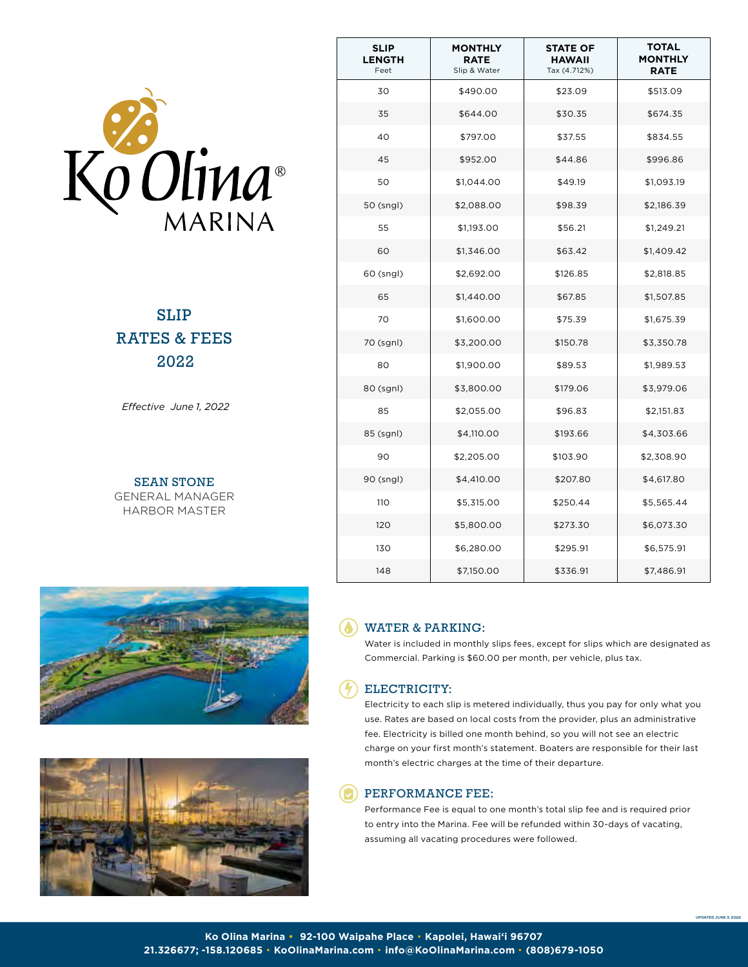

SLIP RATES & FEES 2022

*Effective June 1, 2022*

SEAN STONE GENERAL MANAGER HARBOR MASTER





| <b>SLIP</b><br><b>LENGTH</b><br>Feet | MONTHLY<br><b>RATE</b><br>Slip & Water | <b>STATE OF</b><br>HAWAII<br>Tax (4.712%) | <b>TOTAL</b><br><b>MONTHLY</b><br><b>RATE</b> |
|--------------------------------------|----------------------------------------|-------------------------------------------|-----------------------------------------------|
| 30                                   | \$490.00                               | \$23.09                                   | \$513.09                                      |
| 35                                   | \$644.00                               | \$30.35                                   | \$674.35                                      |
| 40                                   | \$797.00                               | \$37.55                                   | \$834.55                                      |
| 45                                   | \$952.00                               | \$44.86                                   | \$996.86                                      |
| 50                                   | \$1,044.00                             | \$49.19                                   | \$1,093.19                                    |
| 50 (sngl)                            | \$2,088.00                             | \$98.39                                   | \$2,186.39                                    |
| 55                                   | \$1,193.00                             | \$56.21                                   | \$1,249.21                                    |
| 60                                   | \$1,346.00                             | \$63.42                                   | \$1,409.42                                    |
| 60 (sngl)                            | \$2,692.00                             | \$126.85                                  | \$2,818.85                                    |
| 65                                   | \$1,440.00                             | \$67.85                                   | \$1,507.85                                    |
| 70                                   | \$1,600.00                             | \$75.39                                   | \$1,675.39                                    |
| 70 (sgnl)                            | \$3,200.00                             | \$150.78                                  | \$3,350.78                                    |
| 80                                   | \$1,900.00                             | \$89.53                                   | \$1,989.53                                    |
| 80 (sgnl)                            | \$3,800.00                             | \$179.06                                  | \$3,979.06                                    |
| 85                                   | \$2,055.00                             | \$96.83                                   | \$2,151.83                                    |
| 85 (sgnl)                            | \$4,110.00                             | \$193.66                                  | \$4,303.66                                    |
| 90                                   | \$2,205.00                             | \$103.90                                  | \$2,308.90                                    |
| 90 (sngl)                            | \$4,410.00                             | \$207.80                                  | \$4,617.80                                    |
| 110                                  | \$5,315.00                             | \$250.44                                  | \$5,565.44                                    |
| 120                                  | \$5,800.00                             | \$273.30                                  | \$6,073.30                                    |
| 130                                  | \$6,280.00                             | \$295.91                                  | \$6,575.91                                    |
| 148                                  | \$7,150.00                             | \$336.91                                  | \$7,486.91                                    |

## WATER & PARKING:

Water is included in monthly slips fees, except for slips which are designated as Commercial. Parking is \$60.00 per month, per vehicle, plus tax.

## ELECTRICITY:

Electricity to each slip is metered individually, thus you pay for only what you use. Rates are based on local costs from the provider, plus an administrative fee. Electricity is billed one month behind, so you will not see an electric charge on your first month's statement. Boaters are responsible for their last month's electric charges at the time of their departure.

## PERFORMANCE FEE:

Performance Fee is equal to one month's total slip fee and is required prior to entry into the Marina. Fee will be refunded within 30-days of vacating, assuming all vacating procedures were followed.

**UPDATED June 3, 2022**